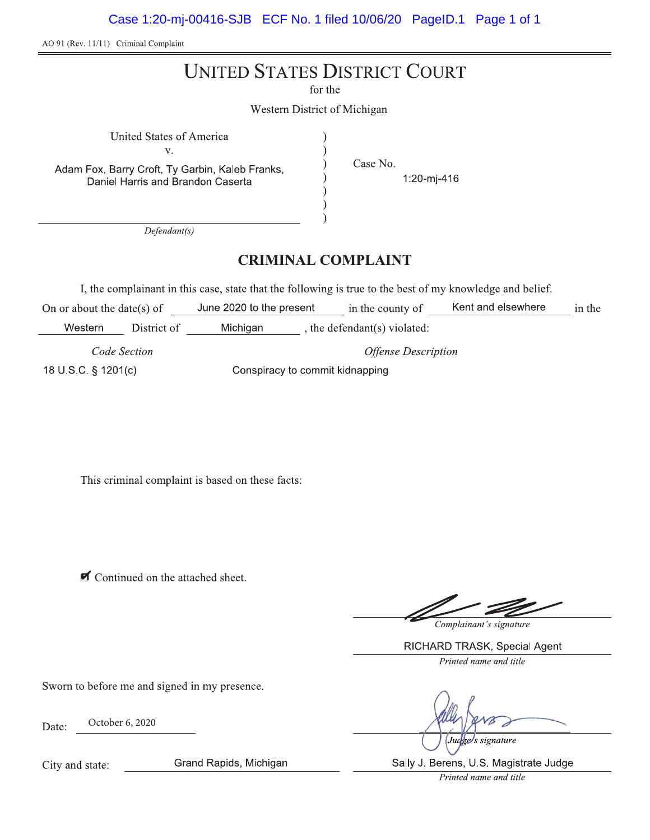Case 1:20-mj-00416-SJB ECF No. 1 filed 10/06/20 PageID.1 Page 1 of 1

AO 91 (Rev. 11/11) Criminal Complaint

## **UNITED STATES DISTRICT COURT**

for the

 $\lambda$ 

Western District of Michigan

 $V_{\star}$ Adam Fox, Barry Croft, Ty Garbin, Kaleb Franks, Daniel Harris and Brandon Caserta

United States of America

Case No.

1:20-mj-416

 $Defendant(s)$ 

### **CRIMINAL COMPLAINT**

I, the complainant in this case, state that the following is true to the best of my knowledge and belief.

On or about the date(s) of June 2020 to the present in the county of Kent and elsewhere in the Western District of Michigan , the defendant(s) violated:

Code Section 18 U S C § 1201(c)

**Offense Description** Conspiracy to commit kidnapping

This criminal complaint is based on these facts:

Continued on the attached sheet.

Complainant's signature

RICHARD TRASK, Special Agent Printed name and title

Sworn to before me and signed in my presence.

October 6, 2020 Date:

s signature

City and state:

Grand Rapids, Michigan

Sally J. Berens, U.S. Magistrate Judge

Printed name and title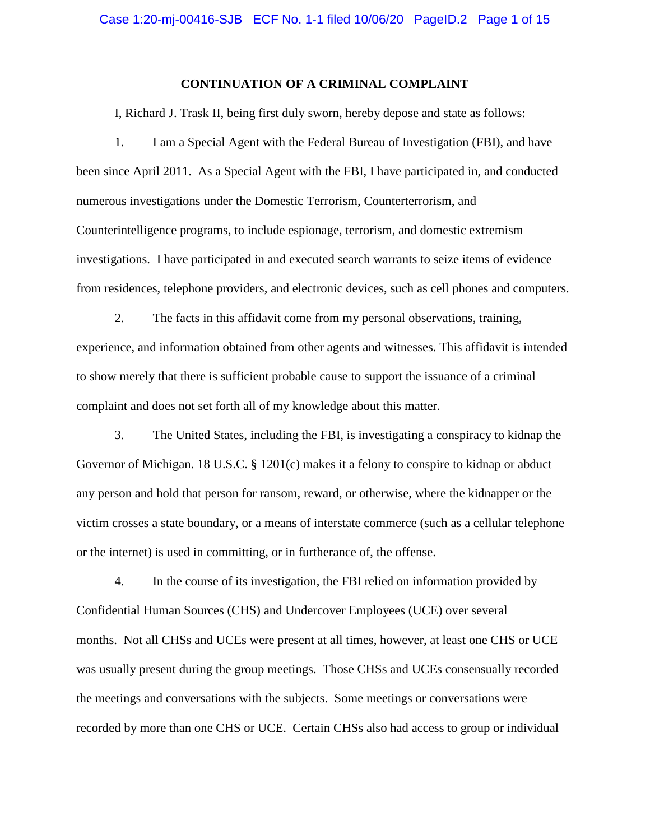#### **CONTINUATION OF A CRIMINAL COMPLAINT**

I, Richard J. Trask II, being first duly sworn, hereby depose and state as follows:

1. I am a Special Agent with the Federal Bureau of Investigation (FBI), and have been since April 2011. As a Special Agent with the FBI, I have participated in, and conducted numerous investigations under the Domestic Terrorism, Counterterrorism, and Counterintelligence programs, to include espionage, terrorism, and domestic extremism investigations. I have participated in and executed search warrants to seize items of evidence from residences, telephone providers, and electronic devices, such as cell phones and computers.

2. The facts in this affidavit come from my personal observations, training, experience, and information obtained from other agents and witnesses. This affidavit is intended to show merely that there is sufficient probable cause to support the issuance of a criminal complaint and does not set forth all of my knowledge about this matter.

3. The United States, including the FBI, is investigating a conspiracy to kidnap the Governor of Michigan. 18 U.S.C. § 1201(c) makes it a felony to conspire to kidnap or abduct any person and hold that person for ransom, reward, or otherwise, where the kidnapper or the victim crosses a state boundary, or a means of interstate commerce (such as a cellular telephone or the internet) is used in committing, or in furtherance of, the offense.

4. In the course of its investigation, the FBI relied on information provided by Confidential Human Sources (CHS) and Undercover Employees (UCE) over several months. Not all CHSs and UCEs were present at all times, however, at least one CHS or UCE was usually present during the group meetings. Those CHSs and UCEs consensually recorded the meetings and conversations with the subjects. Some meetings or conversations were recorded by more than one CHS or UCE. Certain CHSs also had access to group or individual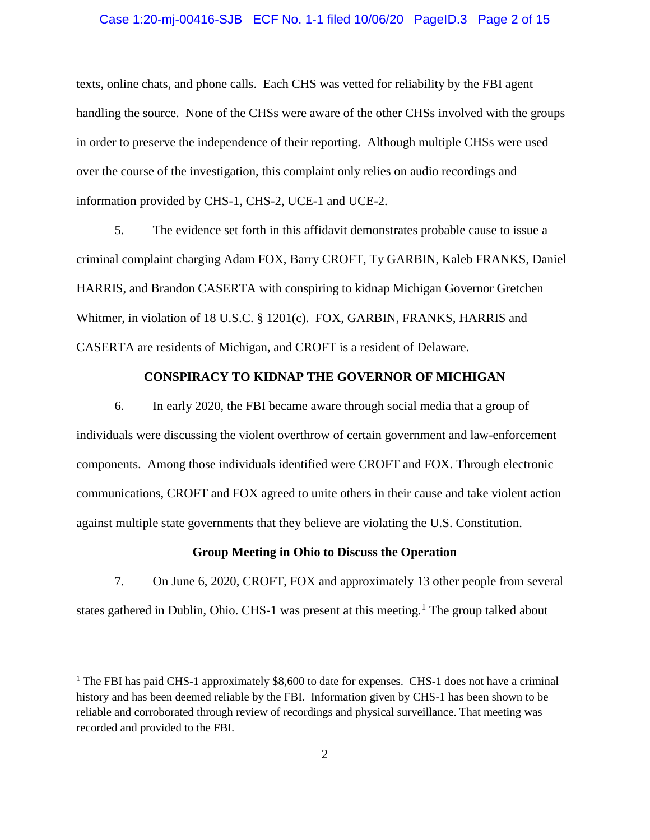#### Case 1:20-mj-00416-SJB ECF No. 1-1 filed 10/06/20 PageID.3 Page 2 of 15

texts, online chats, and phone calls. Each CHS was vetted for reliability by the FBI agent handling the source. None of the CHSs were aware of the other CHSs involved with the groups in order to preserve the independence of their reporting. Although multiple CHSs were used over the course of the investigation, this complaint only relies on audio recordings and information provided by CHS-1, CHS-2, UCE-1 and UCE-2.

5. The evidence set forth in this affidavit demonstrates probable cause to issue a criminal complaint charging Adam FOX, Barry CROFT, Ty GARBIN, Kaleb FRANKS, Daniel HARRIS, and Brandon CASERTA with conspiring to kidnap Michigan Governor Gretchen Whitmer, in violation of 18 U.S.C. § 1201(c). FOX, GARBIN, FRANKS, HARRIS and CASERTA are residents of Michigan, and CROFT is a resident of Delaware.

#### **CONSPIRACY TO KIDNAP THE GOVERNOR OF MICHIGAN**

6. In early 2020, the FBI became aware through social media that a group of individuals were discussing the violent overthrow of certain government and law-enforcement components. Among those individuals identified were CROFT and FOX. Through electronic communications, CROFT and FOX agreed to unite others in their cause and take violent action against multiple state governments that they believe are violating the U.S. Constitution.

#### **Group Meeting in Ohio to Discuss the Operation**

7. On June 6, 2020, CROFT, FOX and approximately 13 other people from several states gathered in Dublin, Ohio. CHS-[1](#page-5-0) was present at this meeting.<sup>1</sup> The group talked about

 $\overline{a}$ 

<sup>&</sup>lt;sup>1</sup> The FBI has paid CHS-1 approximately  $$8,600$  to date for expenses. CHS-1 does not have a criminal history and has been deemed reliable by the FBI. Information given by CHS-1 has been shown to be reliable and corroborated through review of recordings and physical surveillance. That meeting was recorded and provided to the FBI.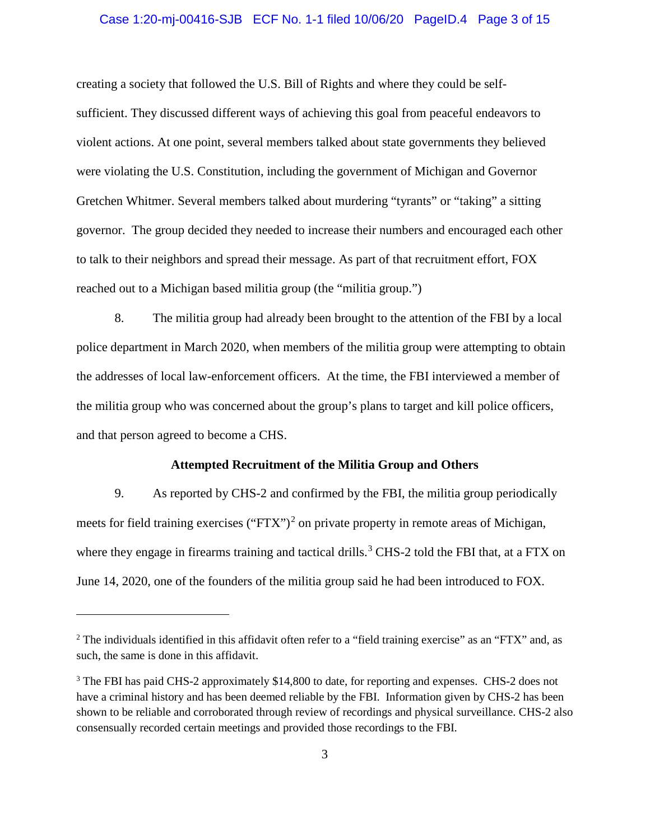#### Case 1:20-mj-00416-SJB ECF No. 1-1 filed 10/06/20 PageID.4 Page 3 of 15

creating a society that followed the U.S. Bill of Rights and where they could be selfsufficient. They discussed different ways of achieving this goal from peaceful endeavors to violent actions. At one point, several members talked about state governments they believed were violating the U.S. Constitution, including the government of Michigan and Governor Gretchen Whitmer. Several members talked about murdering "tyrants" or "taking" a sitting governor. The group decided they needed to increase their numbers and encouraged each other to talk to their neighbors and spread their message. As part of that recruitment effort, FOX reached out to a Michigan based militia group (the "militia group.")

8. The militia group had already been brought to the attention of the FBI by a local police department in March 2020, when members of the militia group were attempting to obtain the addresses of local law-enforcement officers. At the time, the FBI interviewed a member of the militia group who was concerned about the group's plans to target and kill police officers, and that person agreed to become a CHS.

#### **Attempted Recruitment of the Militia Group and Others**

9. As reported by CHS-2 and confirmed by the FBI, the militia group periodically meets for field training exercises ("FTX")<sup>[2](#page-5-0)</sup> on private property in remote areas of Michigan, where they engage in firearms training and tactical drills.<sup>[3](#page-5-0)</sup> CHS-2 told the FBI that, at a FTX on June 14, 2020, one of the founders of the militia group said he had been introduced to FOX.

 $\overline{a}$ 

<sup>&</sup>lt;sup>2</sup> The individuals identified in this affidavit often refer to a "field training exercise" as an "FTX" and, as such, the same is done in this affidavit.

<sup>&</sup>lt;sup>3</sup> The FBI has paid CHS-2 approximately \$14,800 to date, for reporting and expenses. CHS-2 does not have a criminal history and has been deemed reliable by the FBI. Information given by CHS-2 has been shown to be reliable and corroborated through review of recordings and physical surveillance. CHS-2 also consensually recorded certain meetings and provided those recordings to the FBI.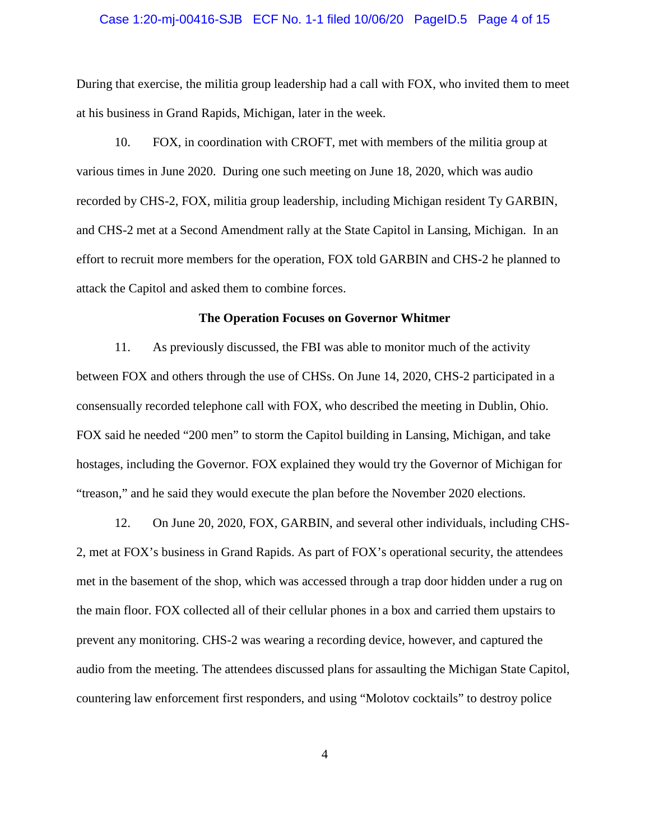#### Case 1:20-mj-00416-SJB ECF No. 1-1 filed 10/06/20 PageID.5 Page 4 of 15

During that exercise, the militia group leadership had a call with FOX, who invited them to meet at his business in Grand Rapids, Michigan, later in the week.

10. FOX, in coordination with CROFT, met with members of the militia group at various times in June 2020. During one such meeting on June 18, 2020, which was audio recorded by CHS-2, FOX, militia group leadership, including Michigan resident Ty GARBIN, and CHS-2 met at a Second Amendment rally at the State Capitol in Lansing, Michigan. In an effort to recruit more members for the operation, FOX told GARBIN and CHS-2 he planned to attack the Capitol and asked them to combine forces.

#### **The Operation Focuses on Governor Whitmer**

11. As previously discussed, the FBI was able to monitor much of the activity between FOX and others through the use of CHSs. On June 14, 2020, CHS-2 participated in a consensually recorded telephone call with FOX, who described the meeting in Dublin, Ohio. FOX said he needed "200 men" to storm the Capitol building in Lansing, Michigan, and take hostages, including the Governor. FOX explained they would try the Governor of Michigan for "treason," and he said they would execute the plan before the November 2020 elections.

12. On June 20, 2020, FOX, GARBIN, and several other individuals, including CHS-2, met at FOX's business in Grand Rapids. As part of FOX's operational security, the attendees met in the basement of the shop, which was accessed through a trap door hidden under a rug on the main floor. FOX collected all of their cellular phones in a box and carried them upstairs to prevent any monitoring. CHS-2 was wearing a recording device, however, and captured the audio from the meeting. The attendees discussed plans for assaulting the Michigan State Capitol, countering law enforcement first responders, and using "Molotov cocktails" to destroy police

4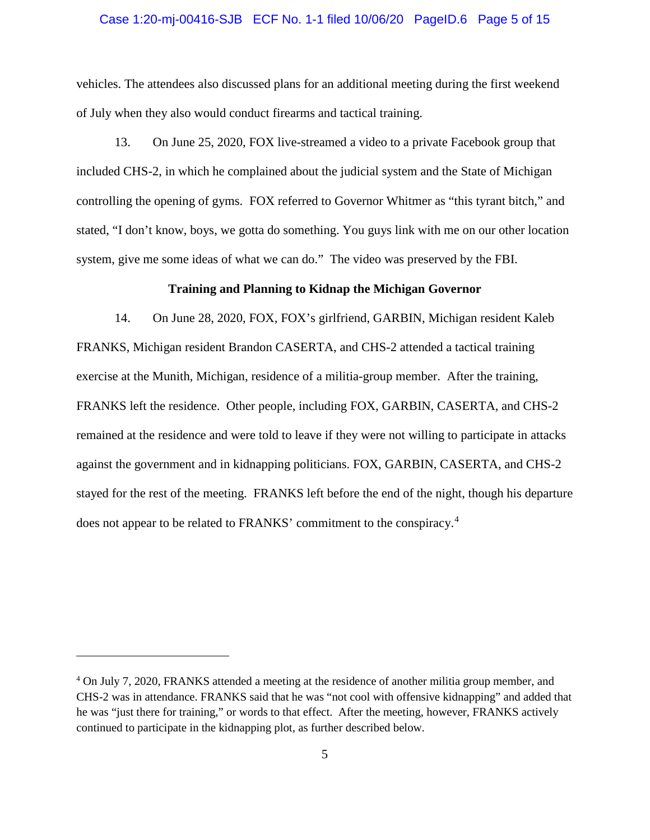#### Case 1:20-mj-00416-SJB ECF No. 1-1 filed 10/06/20 PageID.6 Page 5 of 15

vehicles. The attendees also discussed plans for an additional meeting during the first weekend of July when they also would conduct firearms and tactical training.

13. On June 25, 2020, FOX live-streamed a video to a private Facebook group that included CHS-2, in which he complained about the judicial system and the State of Michigan controlling the opening of gyms. FOX referred to Governor Whitmer as "this tyrant bitch," and stated, "I don't know, boys, we gotta do something. You guys link with me on our other location system, give me some ideas of what we can do." The video was preserved by the FBI.

#### **Training and Planning to Kidnap the Michigan Governor**

14. On June 28, 2020, FOX, FOX's girlfriend, GARBIN, Michigan resident Kaleb FRANKS, Michigan resident Brandon CASERTA, and CHS-2 attended a tactical training exercise at the Munith, Michigan, residence of a militia-group member. After the training, FRANKS left the residence. Other people, including FOX, GARBIN, CASERTA, and CHS-2 remained at the residence and were told to leave if they were not willing to participate in attacks against the government and in kidnapping politicians. FOX, GARBIN, CASERTA, and CHS-2 stayed for the rest of the meeting. FRANKS left before the end of the night, though his departure does not appear to be related to FRANKS' commitment to the conspiracy.<sup>[4](#page-5-0)</sup>

 $\overline{a}$ 

<span id="page-5-0"></span><sup>&</sup>lt;sup>4</sup> On July 7, 2020, FRANKS attended a meeting at the residence of another militia group member, and CHS-2 was in attendance. FRANKS said that he was "not cool with offensive kidnapping" and added that he was "just there for training," or words to that effect. After the meeting, however, FRANKS actively continued to participate in the kidnapping plot, as further described below.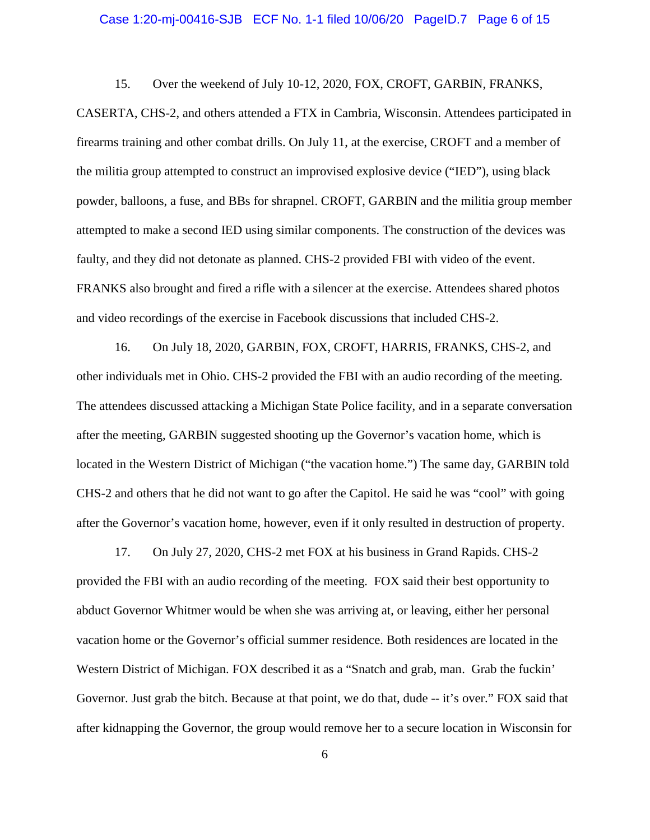#### Case 1:20-mj-00416-SJB ECF No. 1-1 filed 10/06/20 PageID.7 Page 6 of 15

15. Over the weekend of July 10-12, 2020, FOX, CROFT, GARBIN, FRANKS,

CASERTA, CHS-2, and others attended a FTX in Cambria, Wisconsin. Attendees participated in firearms training and other combat drills. On July 11, at the exercise, CROFT and a member of the militia group attempted to construct an improvised explosive device ("IED"), using black powder, balloons, a fuse, and BBs for shrapnel. CROFT, GARBIN and the militia group member attempted to make a second IED using similar components. The construction of the devices was faulty, and they did not detonate as planned. CHS-2 provided FBI with video of the event. FRANKS also brought and fired a rifle with a silencer at the exercise. Attendees shared photos and video recordings of the exercise in Facebook discussions that included CHS-2.

16. On July 18, 2020, GARBIN, FOX, CROFT, HARRIS, FRANKS, CHS-2, and other individuals met in Ohio. CHS-2 provided the FBI with an audio recording of the meeting. The attendees discussed attacking a Michigan State Police facility, and in a separate conversation after the meeting, GARBIN suggested shooting up the Governor's vacation home, which is located in the Western District of Michigan ("the vacation home.") The same day, GARBIN told CHS-2 and others that he did not want to go after the Capitol. He said he was "cool" with going after the Governor's vacation home, however, even if it only resulted in destruction of property.

17. On July 27, 2020, CHS-2 met FOX at his business in Grand Rapids. CHS-2 provided the FBI with an audio recording of the meeting. FOX said their best opportunity to abduct Governor Whitmer would be when she was arriving at, or leaving, either her personal vacation home or the Governor's official summer residence. Both residences are located in the Western District of Michigan. FOX described it as a "Snatch and grab, man. Grab the fuckin' Governor. Just grab the bitch. Because at that point, we do that, dude -- it's over." FOX said that after kidnapping the Governor, the group would remove her to a secure location in Wisconsin for

6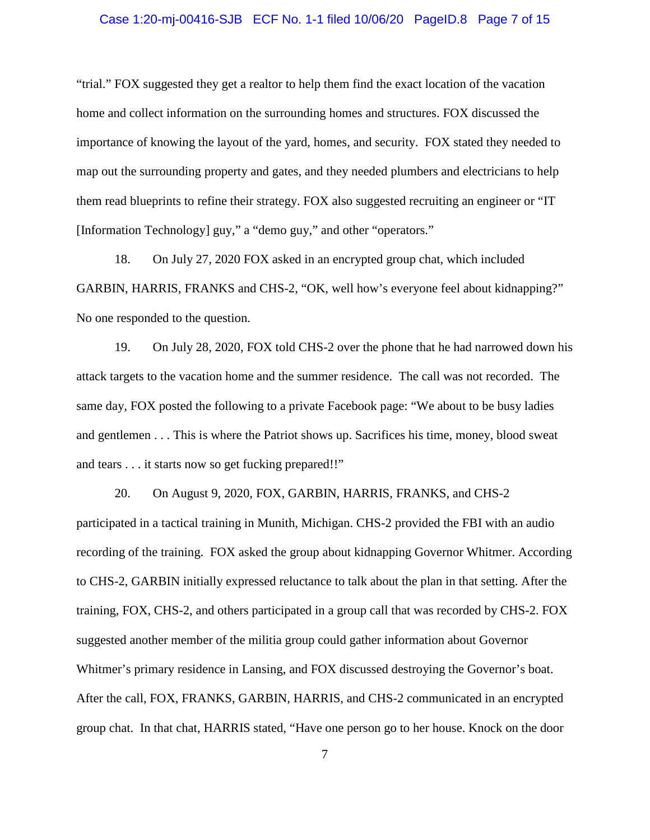#### Case 1:20-mj-00416-SJB ECF No. 1-1 filed 10/06/20 PageID.8 Page 7 of 15

"trial." FOX suggested they get a realtor to help them find the exact location of the vacation home and collect information on the surrounding homes and structures. FOX discussed the importance of knowing the layout of the yard, homes, and security. FOX stated they needed to map out the surrounding property and gates, and they needed plumbers and electricians to help them read blueprints to refine their strategy. FOX also suggested recruiting an engineer or "IT [Information Technology] guy," a "demo guy," and other "operators."

18. On July 27, 2020 FOX asked in an encrypted group chat, which included GARBIN, HARRIS, FRANKS and CHS-2, "OK, well how's everyone feel about kidnapping?" No one responded to the question.

19. On July 28, 2020, FOX told CHS-2 over the phone that he had narrowed down his attack targets to the vacation home and the summer residence. The call was not recorded. The same day, FOX posted the following to a private Facebook page: "We about to be busy ladies and gentlemen . . . This is where the Patriot shows up. Sacrifices his time, money, blood sweat and tears . . . it starts now so get fucking prepared!!"

20. On August 9, 2020, FOX, GARBIN, HARRIS, FRANKS, and CHS-2 participated in a tactical training in Munith, Michigan. CHS-2 provided the FBI with an audio recording of the training. FOX asked the group about kidnapping Governor Whitmer. According to CHS-2, GARBIN initially expressed reluctance to talk about the plan in that setting. After the training, FOX, CHS-2, and others participated in a group call that was recorded by CHS-2. FOX suggested another member of the militia group could gather information about Governor Whitmer's primary residence in Lansing, and FOX discussed destroying the Governor's boat. After the call, FOX, FRANKS, GARBIN, HARRIS, and CHS-2 communicated in an encrypted group chat. In that chat, HARRIS stated, "Have one person go to her house. Knock on the door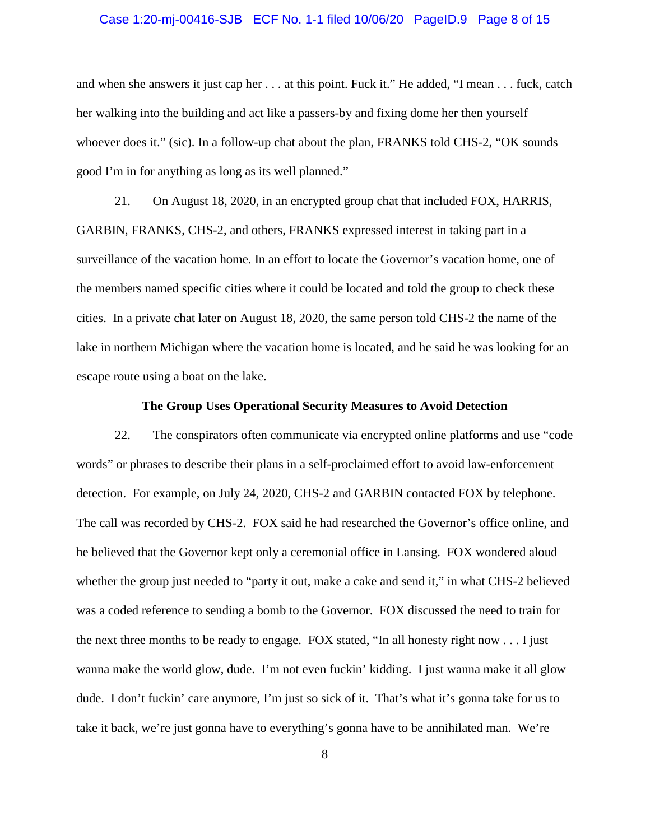#### Case 1:20-mj-00416-SJB ECF No. 1-1 filed 10/06/20 PageID.9 Page 8 of 15

and when she answers it just cap her . . . at this point. Fuck it." He added, "I mean . . . fuck, catch her walking into the building and act like a passers-by and fixing dome her then yourself whoever does it." (sic). In a follow-up chat about the plan, FRANKS told CHS-2, "OK sounds good I'm in for anything as long as its well planned."

21. On August 18, 2020, in an encrypted group chat that included FOX, HARRIS, GARBIN, FRANKS, CHS-2, and others, FRANKS expressed interest in taking part in a surveillance of the vacation home. In an effort to locate the Governor's vacation home, one of the members named specific cities where it could be located and told the group to check these cities. In a private chat later on August 18, 2020, the same person told CHS-2 the name of the lake in northern Michigan where the vacation home is located, and he said he was looking for an escape route using a boat on the lake.

#### **The Group Uses Operational Security Measures to Avoid Detection**

22. The conspirators often communicate via encrypted online platforms and use "code words" or phrases to describe their plans in a self-proclaimed effort to avoid law-enforcement detection. For example, on July 24, 2020, CHS-2 and GARBIN contacted FOX by telephone. The call was recorded by CHS-2. FOX said he had researched the Governor's office online, and he believed that the Governor kept only a ceremonial office in Lansing. FOX wondered aloud whether the group just needed to "party it out, make a cake and send it," in what CHS-2 believed was a coded reference to sending a bomb to the Governor. FOX discussed the need to train for the next three months to be ready to engage. FOX stated, "In all honesty right now  $\dots$ . I just wanna make the world glow, dude. I'm not even fuckin' kidding. I just wanna make it all glow dude. I don't fuckin' care anymore, I'm just so sick of it. That's what it's gonna take for us to take it back, we're just gonna have to everything's gonna have to be annihilated man. We're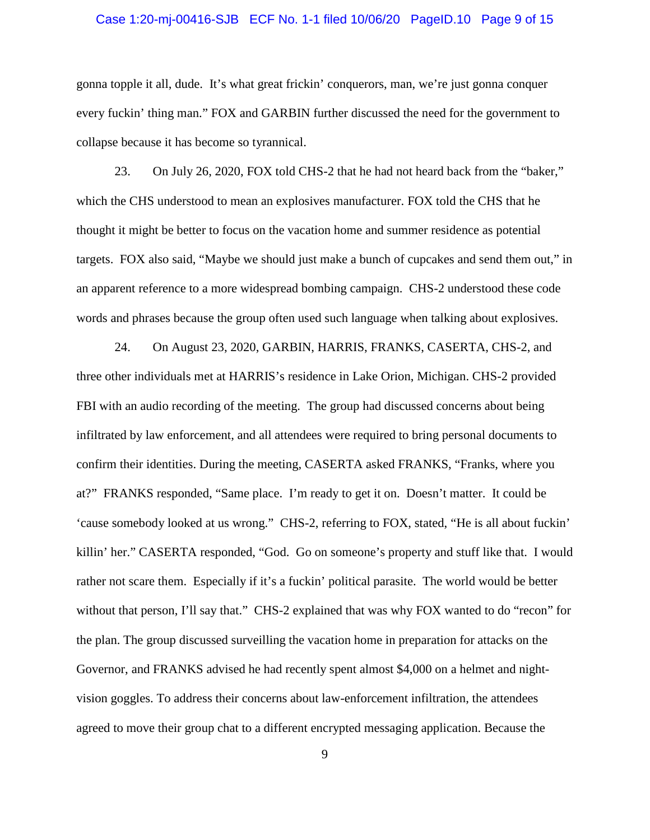#### Case 1:20-mj-00416-SJB ECF No. 1-1 filed 10/06/20 PageID.10 Page 9 of 15

gonna topple it all, dude. It's what great frickin' conquerors, man, we're just gonna conquer every fuckin' thing man." FOX and GARBIN further discussed the need for the government to collapse because it has become so tyrannical.

23. On July 26, 2020, FOX told CHS-2 that he had not heard back from the "baker," which the CHS understood to mean an explosives manufacturer. FOX told the CHS that he thought it might be better to focus on the vacation home and summer residence as potential targets. FOX also said, "Maybe we should just make a bunch of cupcakes and send them out," in an apparent reference to a more widespread bombing campaign. CHS-2 understood these code words and phrases because the group often used such language when talking about explosives.

24. On August 23, 2020, GARBIN, HARRIS, FRANKS, CASERTA, CHS-2, and three other individuals met at HARRIS's residence in Lake Orion, Michigan. CHS-2 provided FBI with an audio recording of the meeting. The group had discussed concerns about being infiltrated by law enforcement, and all attendees were required to bring personal documents to confirm their identities. During the meeting, CASERTA asked FRANKS, "Franks, where you at?" FRANKS responded, "Same place. I'm ready to get it on. Doesn't matter. It could be 'cause somebody looked at us wrong." CHS-2, referring to FOX, stated, "He is all about fuckin' killin' her." CASERTA responded, "God. Go on someone's property and stuff like that. I would rather not scare them. Especially if it's a fuckin' political parasite. The world would be better without that person, I'll say that." CHS-2 explained that was why FOX wanted to do "recon" for the plan. The group discussed surveilling the vacation home in preparation for attacks on the Governor, and FRANKS advised he had recently spent almost \$4,000 on a helmet and nightvision goggles. To address their concerns about law-enforcement infiltration, the attendees agreed to move their group chat to a different encrypted messaging application. Because the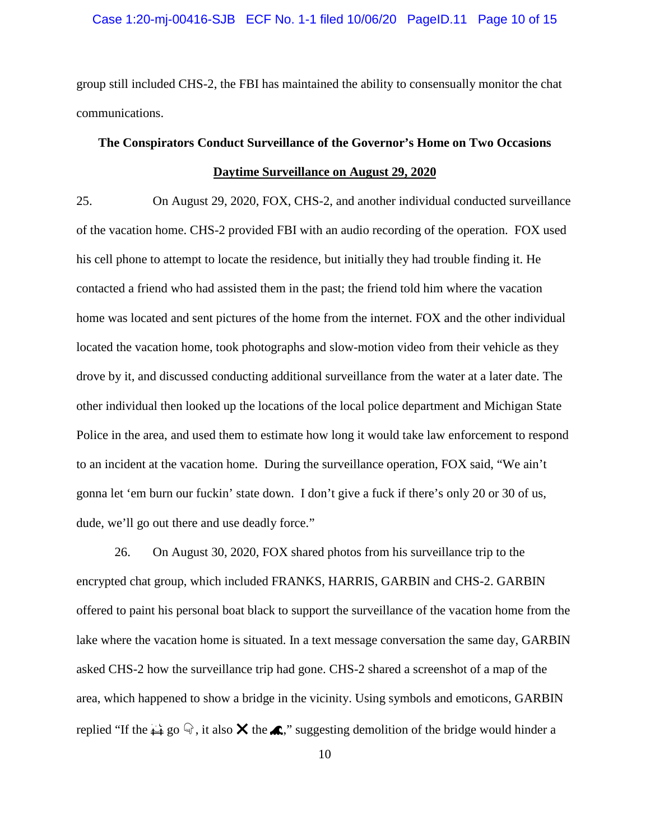#### Case 1:20-mj-00416-SJB ECF No. 1-1 filed 10/06/20 PageID.11 Page 10 of 15

group still included CHS-2, the FBI has maintained the ability to consensually monitor the chat communications.

# **The Conspirators Conduct Surveillance of the Governor's Home on Two Occasions Daytime Surveillance on August 29, 2020**

25. On August 29, 2020, FOX, CHS-2, and another individual conducted surveillance of the vacation home. CHS-2 provided FBI with an audio recording of the operation. FOX used his cell phone to attempt to locate the residence, but initially they had trouble finding it. He contacted a friend who had assisted them in the past; the friend told him where the vacation home was located and sent pictures of the home from the internet. FOX and the other individual located the vacation home, took photographs and slow-motion video from their vehicle as they drove by it, and discussed conducting additional surveillance from the water at a later date. The other individual then looked up the locations of the local police department and Michigan State Police in the area, and used them to estimate how long it would take law enforcement to respond to an incident at the vacation home. During the surveillance operation, FOX said, "We ain't gonna let 'em burn our fuckin' state down. I don't give a fuck if there's only 20 or 30 of us, dude, we'll go out there and use deadly force."

26. On August 30, 2020, FOX shared photos from his surveillance trip to the encrypted chat group, which included FRANKS, HARRIS, GARBIN and CHS-2. GARBIN offered to paint his personal boat black to support the surveillance of the vacation home from the lake where the vacation home is situated. In a text message conversation the same day, GARBIN asked CHS-2 how the surveillance trip had gone. CHS-2 shared a screenshot of a map of the area, which happened to show a bridge in the vicinity. Using symbols and emoticons, GARBIN replied "If the  $\leftrightarrow$  go  $\mathbb{Q}$ , it also  $\times$  the  $\bullet$ ," suggesting demolition of the bridge would hinder a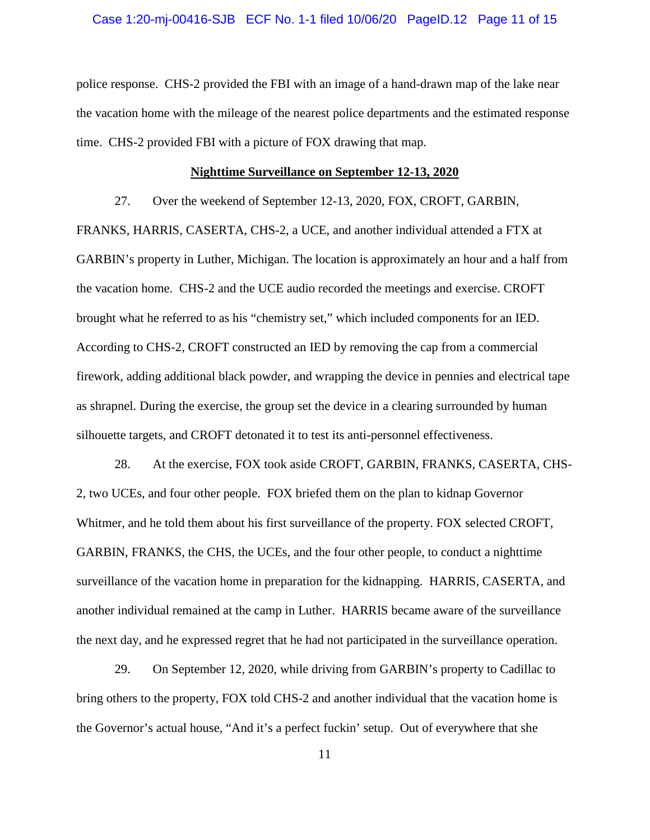#### Case 1:20-mj-00416-SJB ECF No. 1-1 filed 10/06/20 PageID.12 Page 11 of 15

police response. CHS-2 provided the FBI with an image of a hand-drawn map of the lake near the vacation home with the mileage of the nearest police departments and the estimated response time. CHS-2 provided FBI with a picture of FOX drawing that map.

#### **Nighttime Surveillance on September 12-13, 2020**

27. Over the weekend of September 12-13, 2020, FOX, CROFT, GARBIN,

FRANKS, HARRIS, CASERTA, CHS-2, a UCE, and another individual attended a FTX at GARBIN's property in Luther, Michigan. The location is approximately an hour and a half from the vacation home. CHS-2 and the UCE audio recorded the meetings and exercise. CROFT brought what he referred to as his "chemistry set," which included components for an IED. According to CHS-2, CROFT constructed an IED by removing the cap from a commercial firework, adding additional black powder, and wrapping the device in pennies and electrical tape as shrapnel. During the exercise, the group set the device in a clearing surrounded by human silhouette targets, and CROFT detonated it to test its anti-personnel effectiveness.

28. At the exercise, FOX took aside CROFT, GARBIN, FRANKS, CASERTA, CHS-2, two UCEs, and four other people. FOX briefed them on the plan to kidnap Governor Whitmer, and he told them about his first surveillance of the property. FOX selected CROFT, GARBIN, FRANKS, the CHS, the UCEs, and the four other people, to conduct a nighttime surveillance of the vacation home in preparation for the kidnapping. HARRIS, CASERTA, and another individual remained at the camp in Luther. HARRIS became aware of the surveillance the next day, and he expressed regret that he had not participated in the surveillance operation.

29. On September 12, 2020, while driving from GARBIN's property to Cadillac to bring others to the property, FOX told CHS-2 and another individual that the vacation home is the Governor's actual house, "And it's a perfect fuckin' setup. Out of everywhere that she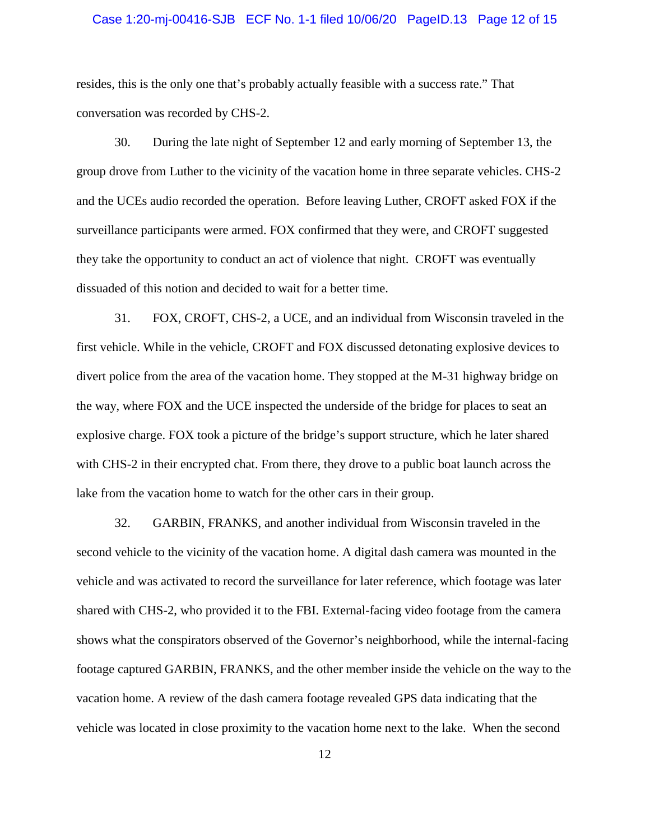#### Case 1:20-mj-00416-SJB ECF No. 1-1 filed 10/06/20 PageID.13 Page 12 of 15

resides, this is the only one that's probably actually feasible with a success rate." That conversation was recorded by CHS-2.

30. During the late night of September 12 and early morning of September 13, the group drove from Luther to the vicinity of the vacation home in three separate vehicles. CHS-2 and the UCEs audio recorded the operation. Before leaving Luther, CROFT asked FOX if the surveillance participants were armed. FOX confirmed that they were, and CROFT suggested they take the opportunity to conduct an act of violence that night. CROFT was eventually dissuaded of this notion and decided to wait for a better time.

31. FOX, CROFT, CHS-2, a UCE, and an individual from Wisconsin traveled in the first vehicle. While in the vehicle, CROFT and FOX discussed detonating explosive devices to divert police from the area of the vacation home. They stopped at the M-31 highway bridge on the way, where FOX and the UCE inspected the underside of the bridge for places to seat an explosive charge. FOX took a picture of the bridge's support structure, which he later shared with CHS-2 in their encrypted chat. From there, they drove to a public boat launch across the lake from the vacation home to watch for the other cars in their group.

32. GARBIN, FRANKS, and another individual from Wisconsin traveled in the second vehicle to the vicinity of the vacation home. A digital dash camera was mounted in the vehicle and was activated to record the surveillance for later reference, which footage was later shared with CHS-2, who provided it to the FBI. External-facing video footage from the camera shows what the conspirators observed of the Governor's neighborhood, while the internal-facing footage captured GARBIN, FRANKS, and the other member inside the vehicle on the way to the vacation home. A review of the dash camera footage revealed GPS data indicating that the vehicle was located in close proximity to the vacation home next to the lake. When the second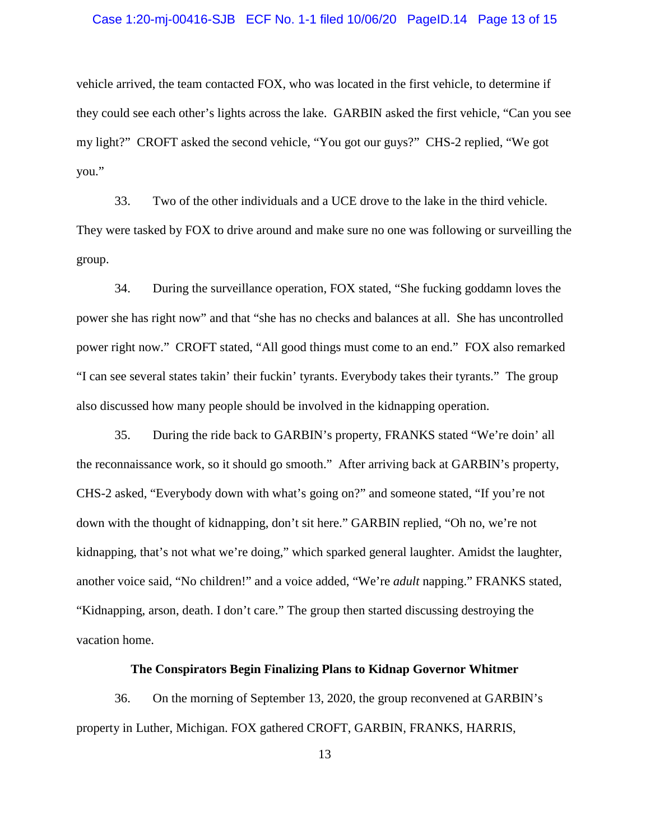#### Case 1:20-mj-00416-SJB ECF No. 1-1 filed 10/06/20 PageID.14 Page 13 of 15

vehicle arrived, the team contacted FOX, who was located in the first vehicle, to determine if they could see each other's lights across the lake. GARBIN asked the first vehicle, "Can you see my light?" CROFT asked the second vehicle, "You got our guys?" CHS-2 replied, "We got you."

33. Two of the other individuals and a UCE drove to the lake in the third vehicle. They were tasked by FOX to drive around and make sure no one was following or surveilling the group.

34. During the surveillance operation, FOX stated, "She fucking goddamn loves the power she has right now" and that "she has no checks and balances at all. She has uncontrolled power right now." CROFT stated, "All good things must come to an end." FOX also remarked "I can see several states takin' their fuckin' tyrants. Everybody takes their tyrants." The group also discussed how many people should be involved in the kidnapping operation.

35. During the ride back to GARBIN's property, FRANKS stated "We're doin' all the reconnaissance work, so it should go smooth." After arriving back at GARBIN's property, CHS-2 asked, "Everybody down with what's going on?" and someone stated, "If you're not down with the thought of kidnapping, don't sit here." GARBIN replied, "Oh no, we're not kidnapping, that's not what we're doing," which sparked general laughter. Amidst the laughter, another voice said, "No children!" and a voice added, "We're *adult* napping." FRANKS stated, "Kidnapping, arson, death. I don't care." The group then started discussing destroying the vacation home.

#### **The Conspirators Begin Finalizing Plans to Kidnap Governor Whitmer**

36. On the morning of September 13, 2020, the group reconvened at GARBIN's property in Luther, Michigan. FOX gathered CROFT, GARBIN, FRANKS, HARRIS,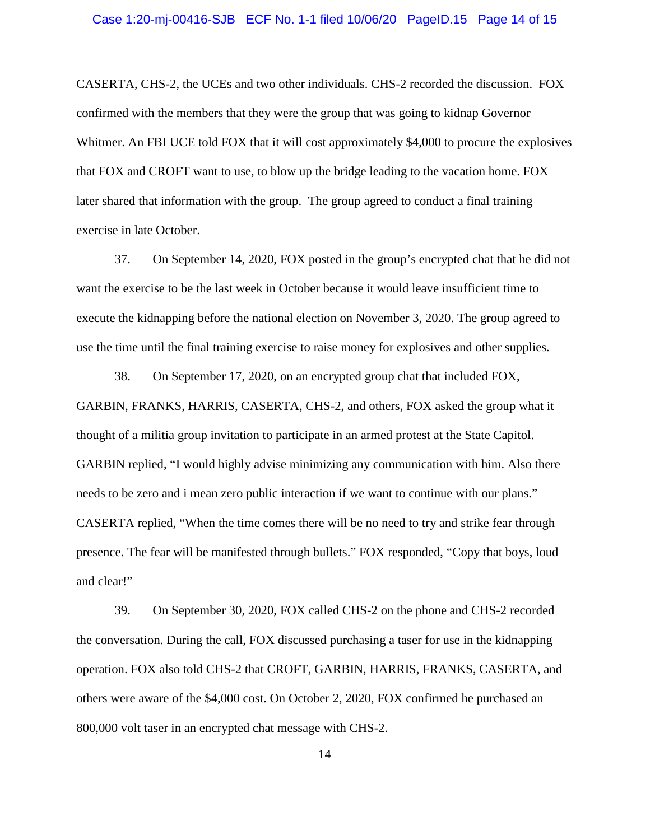CASERTA, CHS-2, the UCEs and two other individuals. CHS-2 recorded the discussion. FOX confirmed with the members that they were the group that was going to kidnap Governor Whitmer. An FBI UCE told FOX that it will cost approximately \$4,000 to procure the explosives that FOX and CROFT want to use, to blow up the bridge leading to the vacation home. FOX later shared that information with the group. The group agreed to conduct a final training exercise in late October.

37. On September 14, 2020, FOX posted in the group's encrypted chat that he did not want the exercise to be the last week in October because it would leave insufficient time to execute the kidnapping before the national election on November 3, 2020. The group agreed to use the time until the final training exercise to raise money for explosives and other supplies.

38. On September 17, 2020, on an encrypted group chat that included FOX, GARBIN, FRANKS, HARRIS, CASERTA, CHS-2, and others, FOX asked the group what it thought of a militia group invitation to participate in an armed protest at the State Capitol. GARBIN replied, "I would highly advise minimizing any communication with him. Also there needs to be zero and i mean zero public interaction if we want to continue with our plans." CASERTA replied, "When the time comes there will be no need to try and strike fear through presence. The fear will be manifested through bullets." FOX responded, "Copy that boys, loud and clear!"

39. On September 30, 2020, FOX called CHS-2 on the phone and CHS-2 recorded the conversation. During the call, FOX discussed purchasing a taser for use in the kidnapping operation. FOX also told CHS-2 that CROFT, GARBIN, HARRIS, FRANKS, CASERTA, and others were aware of the \$4,000 cost. On October 2, 2020, FOX confirmed he purchased an 800,000 volt taser in an encrypted chat message with CHS-2.

14